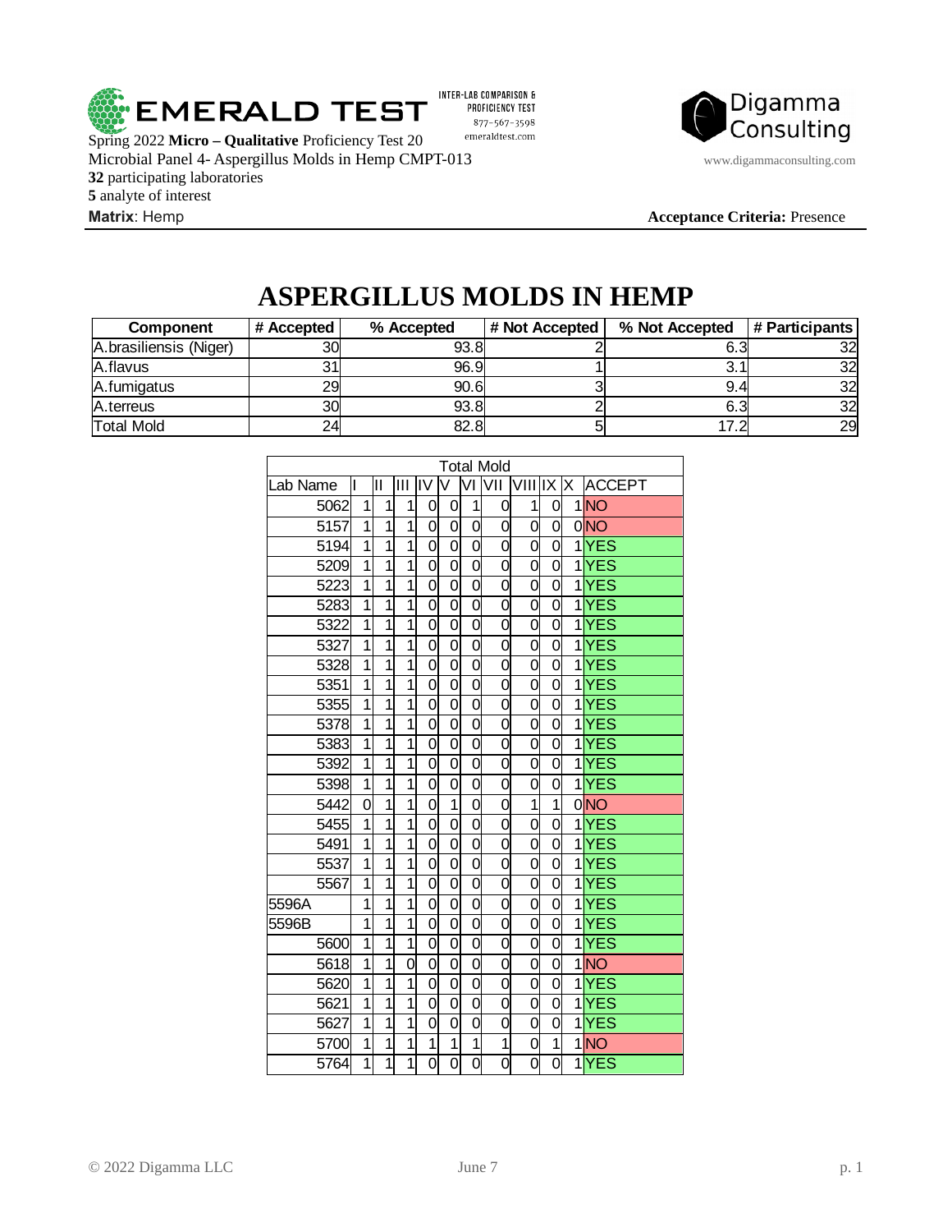

INTER-LAB COMPARISON & PROFICIENCY TEST 877-567-3598 emeraldtest.com

Spring 2022 **Micro – Qualitative** Proficiency Test 20 Microbial Panel 4- Aspergillus Molds in Hemp CMPT-013 www.digammaconsulting.com participating laboratories analyte of interest **Matrix**: Hemp **Acceptance Criteria:** Presence



# **ASPERGILLUS MOLDS IN HEMP**

| <b>Component</b>       | # Accepted | % Accepted | # Not Accepted | % Not Accepted | # Participants |
|------------------------|------------|------------|----------------|----------------|----------------|
| A.brasiliensis (Niger) | 30         | 93.8       |                |                | 321            |
| A.flavus               |            | 96.9       |                |                | 32             |
| A.fumigatus            | 291        | 90.6       |                | 9.4            | 32             |
| A.terreus              | 30         | 93.8       |                | -6.3           | 32             |
| Total Mold             | 24         | 82.8       |                | 17.            | 29             |

| <b>Total Mold</b> |                |                |                |                |                |                |                |                |                |    |                   |  |
|-------------------|----------------|----------------|----------------|----------------|----------------|----------------|----------------|----------------|----------------|----|-------------------|--|
| Lab Name          | I              | Ш              | Ш              | liv            | V              | ΜI             | lvii           | VIII IX        |                | İΧ | <b>ACCEPT</b>     |  |
| 5062              | $\overline{1}$ | $\overline{1}$ | $\overline{1}$ | 0              | 0              | $\overline{1}$ | 0              | $\overline{1}$ | 0              |    | $1$ NO            |  |
| 5157              | $\overline{1}$ | $\overline{1}$ | $\overline{1}$ | 0              | 0              | 0              | 0              | 0              | 0              |    | $0$ <sub>NO</sub> |  |
| 5194              | $\overline{1}$ | $\overline{1}$ | $\overline{1}$ | 0              | $\overline{0}$ | $\overline{0}$ | 0              | 0              | $\overline{0}$ |    | $1$ $YES$         |  |
| 5209              | $\overline{1}$ | $\overline{1}$ | $\overline{1}$ | 0              | 0              | 0              | 0              | 0              | 0              |    | 1YES              |  |
| 5223              | $\overline{1}$ | $\overline{1}$ | $\overline{1}$ | $\overline{0}$ | 0              | 0              | 0              | $\overline{0}$ | $\overline{0}$ |    | 1YES              |  |
| 5283              | $\overline{1}$ | $\overline{1}$ | $\overline{1}$ | $\overline{0}$ | $\overline{0}$ | $\overline{0}$ | 0              | $\overline{0}$ | $\overline{0}$ |    | $1$ $YES$         |  |
| 5322              | $\overline{1}$ | $\overline{1}$ | $\overline{1}$ | 0              | 0              | 0              | 0              | 0              | $\overline{0}$ |    | $1$ $YES$         |  |
| 5327              | $\overline{1}$ | $\overline{1}$ | $\overline{1}$ | 0              | $\overline{0}$ | 0              | 0              | 0              | $\overline{0}$ |    | $1$ $YES$         |  |
| 5328              | $\overline{1}$ | $\overline{1}$ | $\overline{1}$ | 0              | 0              | 0              | 0              | 0              | 0              |    | $1$ $YES$         |  |
| 5351              | $\overline{1}$ | $\overline{1}$ | $\overline{1}$ | $\overline{0}$ | 0              | 0              | 0              | 0              | O              |    | $1$ $YES$         |  |
| 5355              | $\overline{1}$ | $\overline{1}$ | $\overline{1}$ | $\overline{0}$ | $\overline{0}$ | $\overline{0}$ | 0              | $\overline{0}$ | 0              |    | $1$ $YES$         |  |
| 5378              | $\overline{1}$ | $\overline{1}$ | $\overline{1}$ | $\overline{0}$ | $\overline{0}$ | $\overline{0}$ | $\overline{0}$ | $\overline{0}$ | $\overline{0}$ |    | $1$ $YES$         |  |
| 5383              | $\overline{1}$ | $\overline{1}$ | $\overline{1}$ | $\overline{0}$ | $\overline{0}$ | $\overline{0}$ | 0              | $\overline{0}$ | $\overline{0}$ |    | $1$ $YES$         |  |
| 5392              | $\overline{1}$ | $\overline{1}$ | $\overline{1}$ | $\overline{0}$ | $\overline{0}$ | $\overline{0}$ | 0              | $\overline{0}$ | $\overline{0}$ |    | $1$ $YES$         |  |
| 5398              | $\overline{1}$ | $\overline{1}$ | $\overline{1}$ | $\overline{0}$ | 0              | 0              | 0              | 0              | $\overline{0}$ |    | $1$ $YES$         |  |
| 5442              | $\overline{0}$ | $\overline{1}$ | $\overline{1}$ | 0              | $\overline{1}$ | 0              | 0              | $\overline{1}$ | $\overline{1}$ |    | $0$ <sub>NO</sub> |  |
| 5455              | $\overline{1}$ | $\overline{1}$ | $\overline{1}$ | 0              | 0              | 0              | 0              | 0              | 0              |    | 1YES              |  |
| 5491              | $\overline{1}$ | $\overline{1}$ | $\overline{1}$ | $\overline{0}$ | $\overline{0}$ | 0              | 0              | 0              | 0              |    | $1$ $YES$         |  |
| 5537              | $\overline{1}$ | $\overline{1}$ | $\overline{1}$ | 0              | $\overline{0}$ | 0              | 0              | 0              | $\overline{0}$ |    | 1YES              |  |
| 5567              | $\overline{1}$ | $\overline{1}$ | $\overline{1}$ | $\overline{0}$ | $\overline{0}$ | $\overline{0}$ | $\overline{0}$ | $\overline{0}$ | $\overline{0}$ |    | $1$ $YES$         |  |
| 5596A             | $\overline{1}$ | $\overline{1}$ | $\overline{1}$ | 0              | 0              | 0              | 0              | 0              | 0              |    | $1$ $YES$         |  |
| 5596B             | $\overline{1}$ | $\overline{1}$ | $\overline{1}$ | $\overline{0}$ | $\overline{0}$ | $\overline{0}$ | $\overline{0}$ | $\overline{0}$ | $\overline{0}$ |    | $1$ $YES$         |  |
| 5600              | $\overline{1}$ | $\overline{1}$ | $\overline{1}$ | $\overline{0}$ | $\overline{0}$ | $\overline{0}$ | $\overline{0}$ | $\overline{0}$ | $\overline{0}$ |    | $1$ $YES$         |  |
| 5618              | $\overline{1}$ | $\overline{1}$ | $\overline{0}$ | 0              | $\overline{0}$ | 0              | 0              | 0              | 0              |    | 1NO               |  |
| 5620              | $\overline{1}$ | $\mathbf{1}$   | $\overline{1}$ | 0              | 0              | 0              | 0              | 0              | 0              |    | 1YES              |  |
| 5621              | $\overline{1}$ | $\overline{1}$ | $\overline{1}$ | 0              | 0              | 0              | 0              | 0              | 0              |    | 1YES              |  |
| 5627              | $\overline{1}$ | $\overline{1}$ | $\overline{1}$ | $\overline{0}$ | 0              | 0              | 0              | $\overline{0}$ | $\overline{0}$ |    | $1$ $YES$         |  |
| 5700              | $\overline{1}$ | $\overline{1}$ | $\overline{1}$ | $\overline{1}$ | $\overline{1}$ | $\mathbf{1}$   | $\overline{1}$ | 0              | $\overline{1}$ |    | 1NO               |  |
| $\overline{5764}$ | $\overline{1}$ | $\overline{1}$ | $\overline{1}$ | $\overline{0}$ | Ō              | $\overline{0}$ | ol             | $\overline{0}$ | O              |    | $1$ $YES$         |  |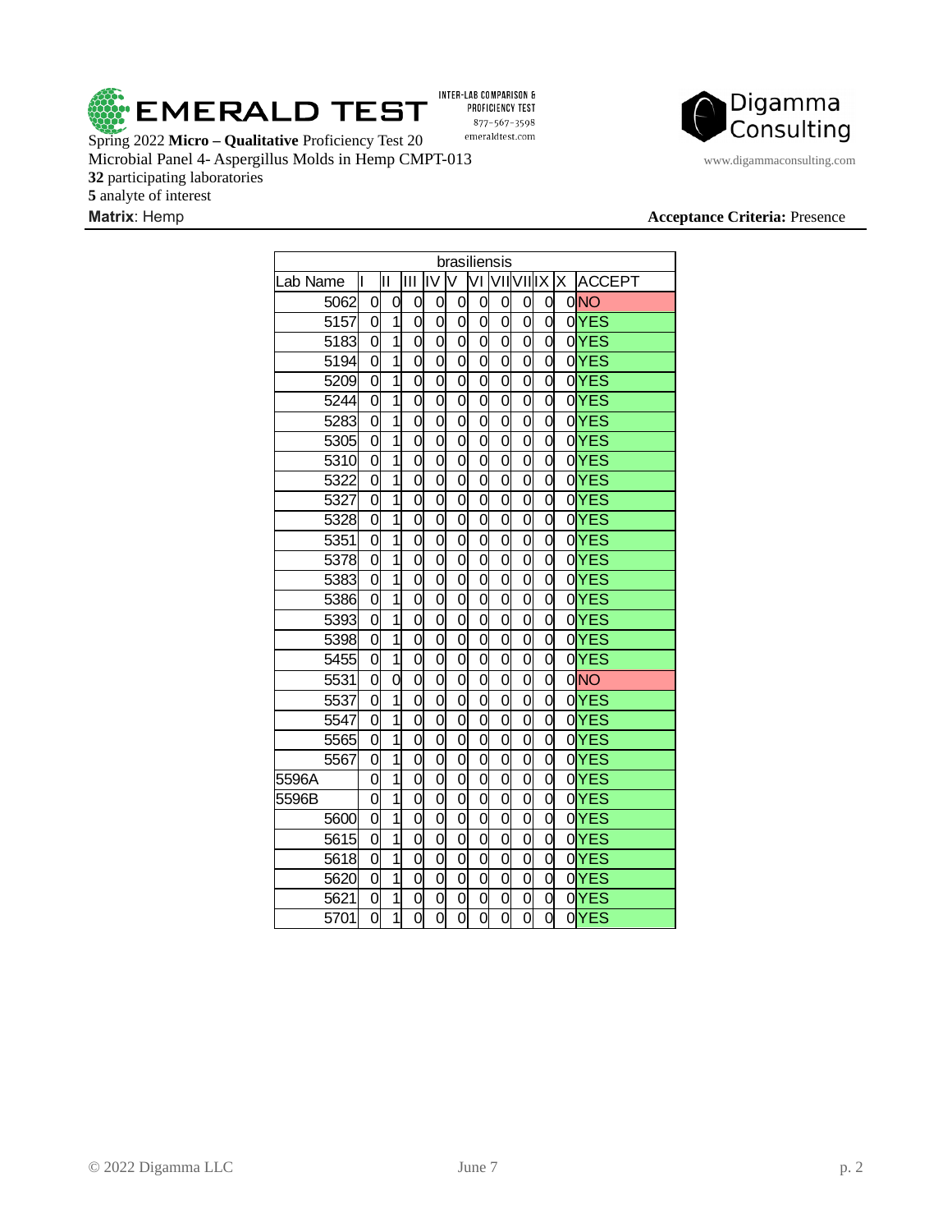

INTER-LAB COMPARISON & PROFICIENCY TEST 877-567-3598  $\emph{emeraldtest.com}$ 

Spring 2022 **Micro – Qualitative** Proficiency Test 20 Microbial Panel 4- Aspergillus Molds in Hemp CMPT-013 www.digammaconsulting.com participating laboratories analyte of interest

# Digamma Consulting

| brasiliensis      |                |                           |                |                |                |                |                      |                |                |  |                 |  |
|-------------------|----------------|---------------------------|----------------|----------------|----------------|----------------|----------------------|----------------|----------------|--|-----------------|--|
| Lab Name          | II             | Ш                         | IШ             | liv            | lv             |                | <u>VI VIIVIIIX X</u> |                |                |  | <b>ACCEPT</b>   |  |
| 5062              | 0              | 0                         | 0              | 0              | 0              | $\overline{0}$ | 0                    | $\overline{0}$ | 0              |  | 0 <sub>NO</sub> |  |
| $\overline{5157}$ | 0              | $\overline{1}$            | 0              | 0              | 0              | $\overline{0}$ | $\overline{0}$       | $\overline{0}$ | 0              |  | $0$ YES         |  |
| 5183              | 0              | $\overline{1}$            | 0              | 0              | 0              | $\overline{0}$ | 0                    | 0              | 0              |  | $0$ YES         |  |
| 5194              | 0              | $\overline{1}$            | $\overline{0}$ | $\overline{0}$ | $\overline{0}$ | $\overline{0}$ | $\overline{0}$       | $\overline{0}$ | 0              |  | $0$ YES         |  |
| 5209              | 0              | $\overline{1}$            | 0              | 0              | $\overline{0}$ | $\overline{0}$ | 0                    | 0              | 0              |  | 0YES            |  |
| 5244              | 0              | $\overline{1}$            | $\overline{0}$ | $\overline{0}$ | $\overline{0}$ | $\overline{0}$ | 0                    | 0              | 0              |  | $0$ YES         |  |
| 5283              | 0              | $\overline{1}$            | 0              | 0              | 0              | $\overline{0}$ | 0                    | 0              | 0              |  | $0$ YES         |  |
| 5305              | $\overline{0}$ | $\overline{1}$            | $\overline{0}$ | 0              | $\overline{0}$ | $\overline{0}$ | $\overline{0}$       | $\overline{0}$ | 0              |  | $0$ YES         |  |
| 5310              | $\overline{0}$ | $\overline{1}$            | $\overline{0}$ | $\overline{0}$ | $\overline{0}$ | $\overline{0}$ | $\overline{0}$       | $\overline{0}$ | $\overline{0}$ |  | $0$ YES         |  |
| 5322              | 0              | $\overline{1}$            | $\overline{0}$ | $\overline{0}$ | $\overline{0}$ | $\overline{0}$ | $\overline{0}$       | $\overline{0}$ | 0              |  | $0$ YES         |  |
| 5327              | 0              | $\overline{1}$            | $\overline{0}$ | 0              | 0              | 0              | 0                    | 0              | 0              |  | $0$ YES         |  |
| 5328              | 0              | $\overline{1}$            | 0              | 0              | 0              | 0              | 0                    | 0              | 0              |  | $0$ YES         |  |
| 5351              | 0              | $\overline{1}$            | 0              | 0              | $\overline{0}$ | $\overline{0}$ | $\overline{0}$       | $\overline{0}$ | 0              |  | 0YES            |  |
| 5378              | 0              | $\overline{1}$            | $\overline{0}$ | $\overline{0}$ | $\overline{0}$ | $\overline{0}$ | $\overline{0}$       | $\overline{0}$ | $\overline{0}$ |  | $0$ YES         |  |
| 5383              | 0              | $\overline{1}$            | $\overline{0}$ | $\overline{0}$ | $\overline{0}$ | $\overline{0}$ | $\overline{0}$       | $\overline{0}$ | 0              |  | 0YES            |  |
| 5386              | 0              | $\overline{1}$            | $\overline{0}$ | $\overline{0}$ | $\overline{0}$ | $\overline{0}$ | 0                    | 0              | 0              |  | 0YES            |  |
| 5393              | 0              | $\overline{1}$            | 0              | 0              | 0              | 0              | 0                    | 0              | 0              |  | $0$ YES         |  |
| 5398              | 0              | $\overline{1}$            | 0              | 0              | $\overline{0}$ | $\overline{0}$ | $\overline{0}$       | $\overline{0}$ | 0              |  | $0$ YES         |  |
| 5455              | 0              | $\overline{1}$            | 0              | $\overline{0}$ | 0              | $\overline{0}$ | $\overline{0}$       | O              | $\overline{0}$ |  | $0$ YES         |  |
| 5531              | 0              | $\overline{\mathfrak{o}}$ | $\overline{0}$ | $\overline{0}$ | 0              | $\overline{0}$ | Ō                    | 0              | 0              |  | 0NO             |  |
| 5537              | 0              | $\overline{1}$            | 0              | 0              | 0              | 0              | 0                    | 0              | 0              |  | $0$ YES         |  |
| 5547              | 0              | $\overline{1}$            | 0              | 0              | 0              | $\overline{0}$ | 0                    | 0              | 0              |  | $0$ YES         |  |
| 5565              | 0              | $\overline{1}$            | 0              | 0              | 0              | 0              | 0                    | 0              | 0              |  | 0YES            |  |
| 5567              | 0              | $\overline{1}$            | $\overline{0}$ | $\overline{0}$ | 0              | $\overline{0}$ | $\overline{0}$       | $\overline{0}$ | $\overline{0}$ |  | 0YES            |  |
| 5596A             | 0              | $\overline{1}$            | 0              | 0              | 0              | 0              | 0                    | 0              | 0              |  | 0YES            |  |
| 5596B             | 0              | $\overline{1}$            | $\overline{0}$ | $\overline{0}$ | $\overline{0}$ | 0              | 0                    | 0              | 0              |  | 0YES            |  |
| 5600              | 0              | $\overline{1}$            | 0              | 0              | 0              | 0              | 0                    | 0              | 0              |  | 0YES            |  |
| 5615              | 0              | $\overline{1}$            | 0              | 0              | $\overline{0}$ | $\overline{0}$ | 0                    | $\overline{0}$ | 0              |  | $0$ YES         |  |
| 5618              | 0              | $\overline{1}$            | O              | $\overline{0}$ | $\overline{0}$ | $\overline{0}$ | $\overline{0}$       | O              | $\overline{0}$ |  | $0$ YES         |  |
| 5620              | 0              | $\overline{1}$            | 0              | 0              | $\overline{0}$ | 0              | 0                    | 0              | 0              |  | 0YES            |  |
| 5621              | 0              | $\overline{1}$            | 0              | 0              | 0              | 0              | 0                    | 0              | 0              |  | 0YES            |  |
| 5701              | 0              | $\overline{1}$            | O              | 0              | O              | $\overline{0}$ | 0                    | 0              | 0              |  | 0YES            |  |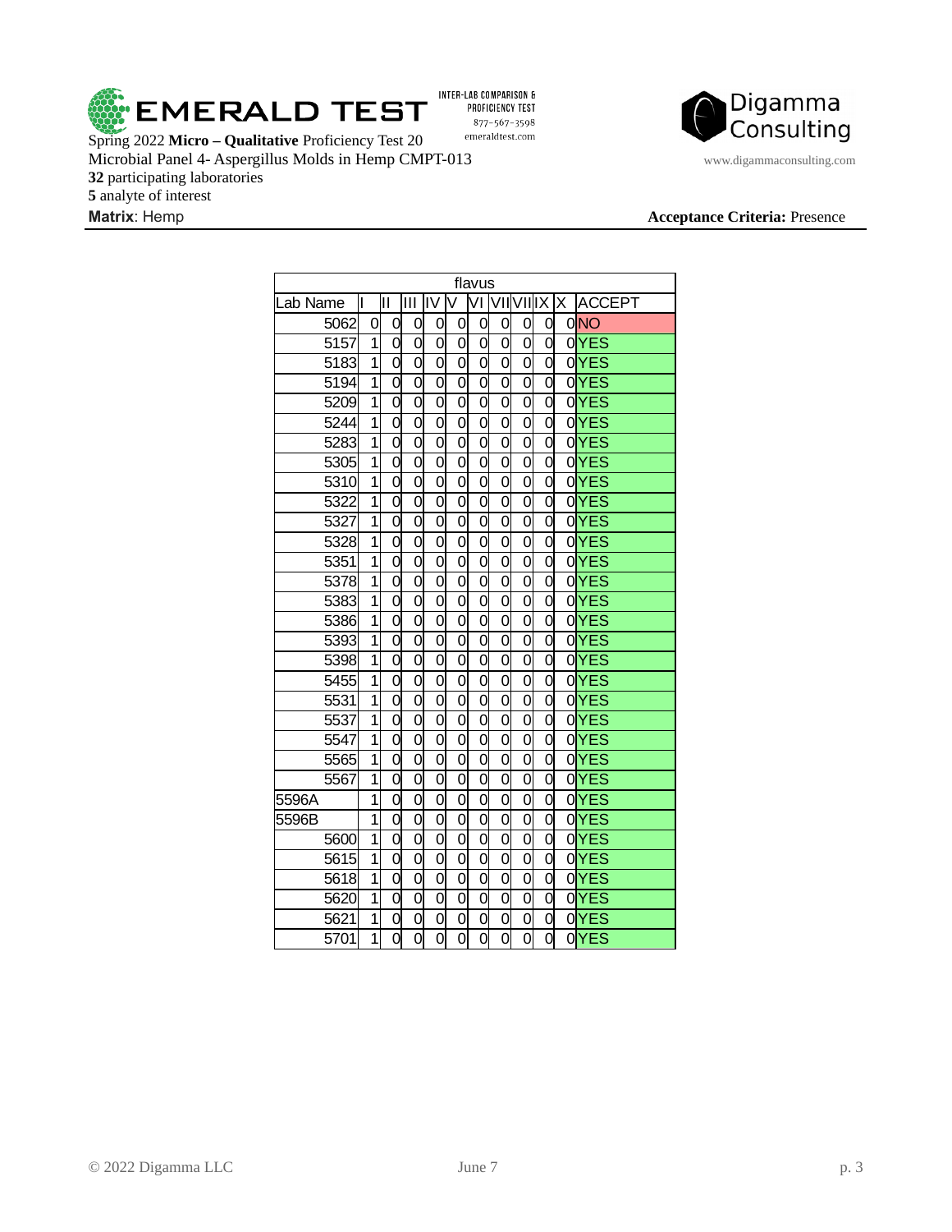

PROFICIENCY TEST 877-567-3598  $\emph{emeraldtest.com}$ 

Spring 2022 **Micro – Qualitative** Proficiency Test 20 Microbial Panel 4- Aspergillus Molds in Hemp CMPT-013 www.digammaconsulting.com participating laboratories analyte of interest

Digamma

Consulting

| flavus   |                |                |                |                |                |                |                      |                |                |  |                 |  |  |
|----------|----------------|----------------|----------------|----------------|----------------|----------------|----------------------|----------------|----------------|--|-----------------|--|--|
| Lab Name | I              | Ш              | Ш              | liv            | V              |                | <u>VI VIIVIIIX X</u> |                |                |  | <b>ACCEPT</b>   |  |  |
| 5062     | 0              | 0              | 0              | 0              | 0              | 0              | 0                    | 0              | 0              |  | 0 <sub>NO</sub> |  |  |
| 5157     | $\overline{1}$ | 0              | 0              | $\overline{0}$ | 0              | $\overline{0}$ | $\overline{0}$       | $\overline{0}$ | 0              |  | $0$ YES         |  |  |
| 5183     | $\overline{1}$ | O              | $\overline{0}$ | 0              | 0              | 0              | 0                    | 0              | 0              |  | $0$ YES         |  |  |
| 5194     | $\overline{1}$ | 0              | $\overline{0}$ | 0              | 0              | 0              | 0                    | 0              | 0              |  | 0YES            |  |  |
| 5209     | $\overline{1}$ | 0              | 0              | 0              | 0              | 0              | 0                    | 0              | 0              |  | $0$ YES         |  |  |
| 5244     | $\overline{1}$ | 0              | 0              | 0              | $\overline{0}$ | $\overline{0}$ | $\overline{0}$       | 0              | 0              |  | $0$ YES         |  |  |
| 5283     | $\overline{1}$ | 0              | 0              | $\overline{0}$ | 0              | $\overline{0}$ | $\overline{0}$       | $\overline{0}$ | 0              |  | $0$ YES         |  |  |
| 5305     | $\overline{1}$ | 0              | 0              | 0              | 0              | $\overline{0}$ | 0                    | $\overline{0}$ | 0              |  | $0$ YES         |  |  |
| 5310     | $\overline{1}$ | O              | $\overline{0}$ | $\overline{0}$ | 0              | 0              | 0                    | 0              | O              |  | $0$ YES         |  |  |
| 5322     | $\overline{1}$ | $\overline{0}$ | $\overline{0}$ | 0              | 0              | 0              | 0                    | 0              | 0              |  | $0$ YES         |  |  |
| 5327     | $\overline{1}$ | 0              | 0              | 0              | 0              | 0              | 0                    | 0              | 0              |  | $0$ YES         |  |  |
| 5328     | $\overline{1}$ | 0              | 0              | $\overline{0}$ | $\overline{0}$ | $\overline{0}$ | 0                    | 0              | 0              |  | $0$ YES         |  |  |
| 5351     | $\overline{1}$ | $\overline{0}$ | $\overline{0}$ | $\overline{0}$ | $\overline{0}$ | $\overline{0}$ | $\overline{0}$       | $\overline{0}$ | $\overline{0}$ |  | $0$ YES         |  |  |
| 5378     | $\overline{1}$ | $\overline{0}$ | $\overline{0}$ | $\overline{0}$ | $\overline{0}$ | $\overline{0}$ | $\overline{0}$       | $\overline{0}$ | $\overline{0}$ |  | 0YES            |  |  |
| 5383     | $\overline{1}$ | $\overline{0}$ | $\overline{0}$ | 0              | 0              | 0              | 0                    | $\overline{0}$ | O              |  | $0$ YES         |  |  |
| 5386     | $\overline{1}$ | 0              | 0              | 0              | 0              | 0              | 0                    | 0              | 0              |  | $0$ YES         |  |  |
| 5393     | $\overline{1}$ | 0              | 0              | $\overline{0}$ | $\overline{0}$ | $\overline{0}$ | 0                    | 0              | 0              |  | $0$ YES         |  |  |
| 5398     | $\overline{1}$ | $\overline{0}$ | $\overline{0}$ | $\overline{0}$ | $\overline{0}$ | $\overline{0}$ | $\overline{0}$       | $\overline{0}$ | $\overline{0}$ |  | $0$ YES         |  |  |
| 5455     | $\overline{1}$ | O              | $\overline{0}$ | $\overline{0}$ | $\overline{0}$ | $\overline{0}$ | $\overline{0}$       | $\overline{0}$ | $\overline{0}$ |  | $0$ YES         |  |  |
| 5531     | $\overline{1}$ | $\overline{0}$ | $\overline{0}$ | $\overline{0}$ | $\overline{0}$ | 0              | 0                    | 0              | O              |  | $0$ YES         |  |  |
| 5537     | $\overline{1}$ | 0              | 0              | 0              | 0              | 0              | 0                    | 0              | 0              |  | $0$ YES         |  |  |
| 5547     | $\overline{1}$ | 0              | 0              | $\overline{0}$ | $\overline{0}$ | $\overline{0}$ | 0                    | 0              | 0              |  | $0$ YES         |  |  |
| 5565     | $\overline{1}$ | $\overline{0}$ | $\overline{0}$ | $\overline{0}$ | $\overline{0}$ | $\overline{0}$ | $\overline{0}$       | $\overline{0}$ | $\overline{0}$ |  | $0$ YES         |  |  |
| 5567     | $\overline{1}$ | 0              | 0              | 0              | $\overline{0}$ | $\overline{0}$ | $\overline{0}$       | $\overline{0}$ | $\overline{0}$ |  | $0$ YES         |  |  |
| 5596A    | $\overline{1}$ | $\overline{0}$ | $\overline{0}$ | $\overline{0}$ | 0              | 0              | 0                    | 0              | 0              |  | 0YES            |  |  |
| 5596B    | $\overline{1}$ | $\overline{0}$ | $\overline{0}$ | 0              | 0              | 0              | 0                    | 0              | 0              |  | $0$ YES         |  |  |
| 5600     | $\overline{1}$ | 0              | 0              | 0              | 0              | 0              | 0                    | 0              | 0              |  | $0$ YES         |  |  |
| 5615     | $\overline{1}$ | 0              | 0              | $\overline{0}$ | $\overline{0}$ | 0              | 0                    | 0              | 0              |  | $0$ YES         |  |  |
| 5618     | $\overline{1}$ | 0              | $\overline{0}$ | 0              | $\overline{0}$ | $\overline{0}$ | $\overline{0}$       | $\overline{0}$ | $\overline{0}$ |  | 0YES            |  |  |
| 5620     | $\overline{1}$ | $\overline{0}$ | $\overline{0}$ | 0              | $\overline{0}$ | 0              | 0                    | 0              | 0              |  | $0$ YES         |  |  |
| 5621     | $\overline{1}$ | O              | 0              | 0              | 0              | 0              | 0                    | 0              | 0              |  | $0$ YES         |  |  |
| 5701     | $\overline{1}$ | $\overline{0}$ | $\overline{0}$ | 0              | $\overline{0}$ | $\overline{0}$ | $\overline{0}$       | 0              | 0              |  | $0$ YES         |  |  |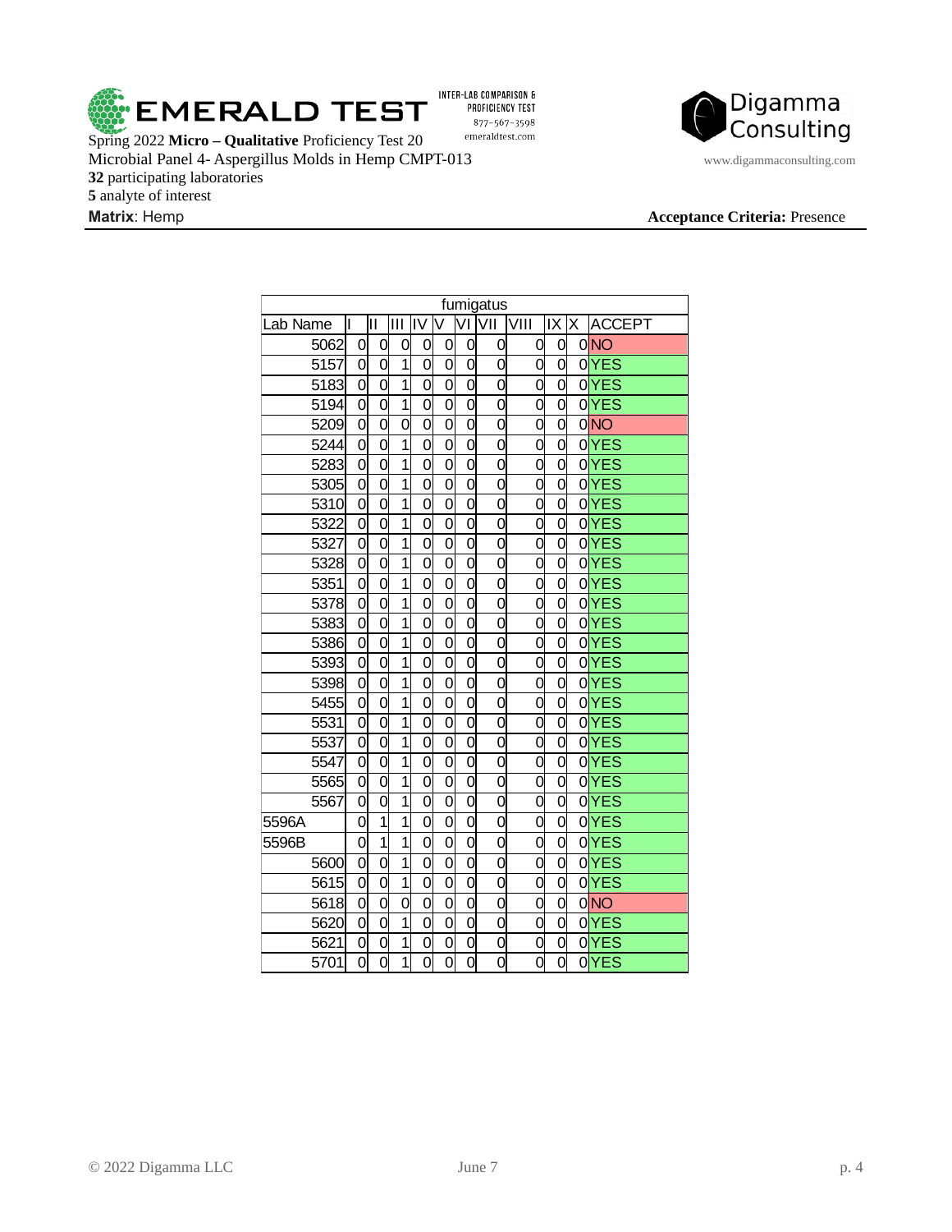

INTER-LAB COMPARISON & PROFICIENCY TEST 877-567-3598  $\emph{emeraldtest.com}$ 

Spring 2022 **Micro – Qualitative** Proficiency Test 20 Microbial Panel 4- Aspergillus Molds in Hemp CMPT-013 www.digammaconsulting.com participating laboratories analyte of interest



| fumigatus |                           |                           |                |                           |                           |                           |                           |                           |                           |  |                 |  |
|-----------|---------------------------|---------------------------|----------------|---------------------------|---------------------------|---------------------------|---------------------------|---------------------------|---------------------------|--|-----------------|--|
| ab Name   | I                         | Ш                         | IШ             | liv                       | lv                        |                           | VI VII                    | <u>Iviii</u>              | X X                       |  | <b>ACCEPT</b>   |  |
| 5062      | 0                         | 0                         | 0              | 0                         | 0                         | 0                         | 0                         | 0                         | 0                         |  | 0 <sub>NO</sub> |  |
| 5157      | $\overline{0}$            | $\overline{0}$            | $\overline{1}$ | $\overline{0}$            | 0                         | ō                         | $\overline{0}$            | 0                         | $\overline{0}$            |  | $0$ YES         |  |
| 5183      | 0                         | 0                         | $\overline{1}$ | 0                         | 0                         | $\overline{0}$            | 0                         | 0                         | 0                         |  | 0YES            |  |
| 5194      | O                         | $\overline{0}$            | $\overline{1}$ | $\overline{0}$            | 0                         | $\overline{0}$            | $\overline{0}$            | 0                         | $\overline{0}$            |  | 0YES            |  |
| 5209      | $\overline{0}$            | $\overline{0}$            | $\overline{0}$ | $\overline{0}$            | $\overline{0}$            | $\overline{0}$            | $\overline{0}$            | $\overline{0}$            | $\overline{0}$            |  | 0NO             |  |
| 5244      | $\overline{\mathfrak{o}}$ | $\overline{\mathrm{o}}$   | $\overline{1}$ | $\overline{0}$            | $\overline{0}$            | $\overline{\mathfrak{o}}$ | $\overline{0}$            | $\overline{\mathfrak{o}}$ | $\overline{0}$            |  | $0$ YES         |  |
| 5283      | 0                         | 0                         | $\overline{1}$ | 0                         | 0                         | $\overline{0}$            | 0                         | 0                         | O                         |  | $0$ YES         |  |
| 5305      | O                         | $\overline{0}$            | $\overline{1}$ | O                         | 0                         | $\overline{0}$            | $\overline{0}$            | $\overline{0}$            | $\overline{0}$            |  | $0$ YES         |  |
| 5310      | $\overline{0}$            | $\overline{0}$            | $\overline{1}$ | $\overline{0}$            | $\overline{0}$            | $\overline{0}$            | $\overline{0}$            | $\overline{0}$            | $\overline{0}$            |  | $0$ YES         |  |
| 5322      | $\overline{0}$            | $\overline{0}$            | $\overline{1}$ | O                         | 0                         | 0                         | $\overline{0}$            | 0                         | $\overline{0}$            |  | $0$ YES         |  |
| 5327      | $\overline{0}$            | $\overline{0}$            | $\overline{1}$ | O                         | $\overline{0}$            | $\overline{0}$            | $\overline{0}$            | $\overline{0}$            | $\overline{\rm o}$        |  | $0$ YES         |  |
| 5328      | 0                         | 0                         | $\overline{1}$ | 0                         | 0                         | $\overline{0}$            | 0                         | 0                         | $\overline{0}$            |  | $0$ YES         |  |
| 5351      | $\overline{0}$            | $\overline{\mathfrak{o}}$ | $\overline{1}$ | $\overline{0}$            | $\overline{0}$            | $\overline{0}$            | $\overline{0}$            | $\overline{0}$            | $\overline{0}$            |  | $0$ YES         |  |
| 5378      | $\overline{0}$            | $\overline{0}$            | $\overline{1}$ | $\overline{0}$            | $\overline{0}$            | $\overline{0}$            | $\overline{0}$            | $\overline{0}$            | $\overline{0}$            |  | $0$ YES         |  |
| 5383      | $\overline{0}$            | $\overline{\mathfrak{o}}$ | $\overline{1}$ | $\overline{0}$            | $\overline{0}$            | O                         | $\overline{0}$            | $\overline{0}$            | $\overline{\mathfrak{o}}$ |  | $0$ YES         |  |
| 5386      | $\overline{0}$            | $\overline{0}$            | $\overline{1}$ | 0                         | $\overline{0}$            | $\overline{0}$            | $\overline{0}$            | $\overline{0}$            | $\overline{0}$            |  | 0YES            |  |
| 5393      | 0                         | 0                         | $\mathbf{1}$   | 0                         | 0                         | $\overline{0}$            | 0                         | 0                         | 0                         |  | $0$ YES         |  |
| 5398      | O                         | $\overline{0}$            | $\overline{1}$ | O                         | $\overline{0}$            | $\overline{0}$            | $\overline{0}$            | $\overline{0}$            | $\overline{0}$            |  | $0$ YES         |  |
| 5455      | $\overline{0}$            | $\overline{\mathfrak{o}}$ | $\overline{1}$ | $\overline{0}$            | $\overline{0}$            | $\overline{0}$            | $\overline{0}$            | $\overline{0}$            | $\overline{0}$            |  | $0$ YES         |  |
| 5531      | $\overline{\mathfrak{o}}$ | $\overline{\mathfrak{o}}$ | $\overline{1}$ | $\overline{0}$            | $\overline{\mathfrak{o}}$ | $\overline{\mathfrak{o}}$ | $\overline{0}$            | $\overline{\mathfrak{o}}$ | $\overline{0}$            |  | $0$ YES         |  |
| 5537      | $\overline{0}$            | $\overline{\mathfrak{o}}$ | $\overline{1}$ | $\overline{0}$            | $\overline{0}$            | $\overline{\mathfrak{o}}$ | $\overline{\mathfrak{o}}$ | $\overline{0}$            | $\overline{\mathfrak{o}}$ |  | 0YES            |  |
| 5547      | $\overline{0}$            | $\overline{\mathfrak{o}}$ | $\overline{1}$ | $\overline{0}$            | $\overline{0}$            | $\overline{0}$            | $\overline{0}$            | $\overline{0}$            | $\overline{0}$            |  | 0YES            |  |
| 5565      | $\overline{0}$            | $\overline{\mathfrak{o}}$ | $\overline{1}$ | $\overline{\mathfrak{o}}$ | $\overline{\mathfrak{o}}$ | ō                         | $\overline{0}$            | $\overline{0}$            | $\overline{0}$            |  | 0YES            |  |
| 5567      | $\overline{\mathfrak{o}}$ | $\overline{\mathfrak{o}}$ | $\overline{1}$ | $\overline{0}$            | $\overline{\mathfrak{o}}$ | $\overline{\mathfrak{o}}$ | $\overline{\mathfrak{o}}$ | $\overline{\mathfrak{o}}$ | $\overline{\mathfrak{o}}$ |  | 0YES            |  |
| 5596A     | $\overline{0}$            | $\overline{1}$            | $\overline{1}$ | $\overline{0}$            | $\overline{0}$            | $\overline{0}$            | $\overline{0}$            | $\overline{0}$            | $\overline{0}$            |  | $0$ YES         |  |
| 5596B     | O                         | $\overline{1}$            | $\overline{1}$ | O                         | $\overline{0}$            | $\overline{0}$            | $\overline{0}$            | $\overline{0}$            | $\overline{0}$            |  | $0$ YES         |  |
| 5600      | $\overline{0}$            | $\overline{0}$            | $\overline{1}$ | $\overline{0}$            | $\overline{0}$            | O                         | $\overline{0}$            | $\overline{0}$            | $\overline{0}$            |  | $0$ YES         |  |
| 5615      | $\overline{\mathfrak{o}}$ | $\overline{\mathfrak{o}}$ | $\overline{1}$ | $\overline{0}$            | $\overline{0}$            | $\overline{0}$            | $\overline{0}$            | $\overline{\mathfrak{o}}$ | $\overline{0}$            |  | $0$ YES         |  |
| 5618      | $\overline{0}$            | $\overline{0}$            | $\overline{0}$ | 0                         | 0                         | 0                         | $\overline{0}$            | 0                         | O                         |  | 0 <sub>NO</sub> |  |
| 5620      | $\overline{0}$            | $\overline{0}$            | $\overline{1}$ | O                         | 0                         | 0                         | $\overline{0}$            | $\overline{0}$            | $\overline{0}$            |  | $0$ YES         |  |
| 5621      | 0                         | 0                         | $\mathbf{1}$   | 0                         | 0                         | 0                         | 0                         | 0                         | 0                         |  | 0YES            |  |
| 5701      | $\overline{0}$            | o                         | $\overline{1}$ | $\overline{0}$            | $\overline{0}$            | $\overline{0}$            | $\overline{0}$            | $\overline{0}$            | $\overline{0}$            |  | $0$ YES         |  |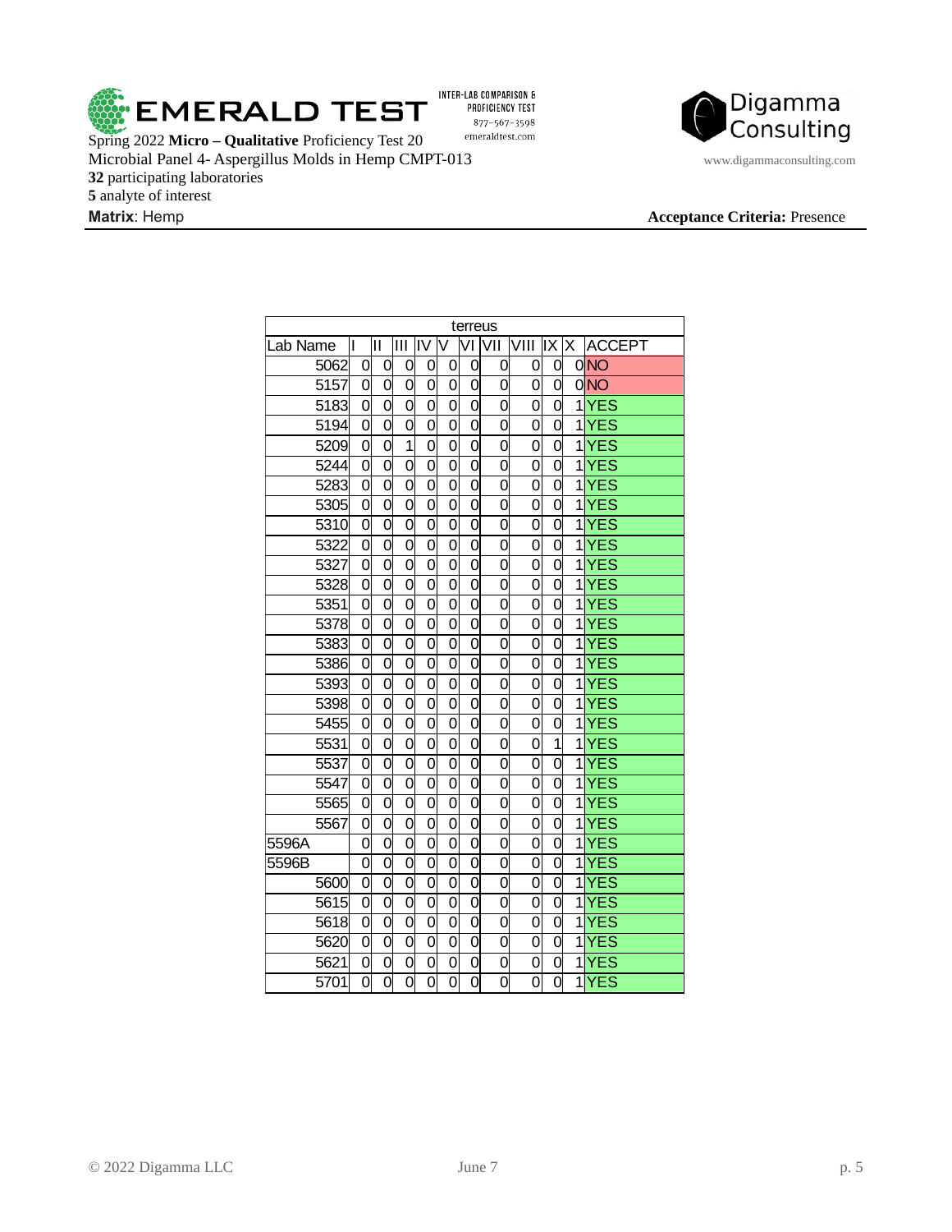

INTER-LAB COMPARISON & PROFICIENCY TEST 877-567-3598  $\emph{emeraldtest.com}$ 

Spring 2022 **Micro – Qualitative** Proficiency Test 20 Microbial Panel 4- Aspergillus Molds in Hemp CMPT-013 www.digammaconsulting.com participating laboratories analyte of interest



| terreus           |                           |                           |                           |                           |                           |                           |                |                |                |  |           |  |
|-------------------|---------------------------|---------------------------|---------------------------|---------------------------|---------------------------|---------------------------|----------------|----------------|----------------|--|-----------|--|
| Lab Name          | lı                        | lΠ                        | Ш                         | liv                       | V                         |                           | VI VII         | VIII           | X X            |  | ACCEPT    |  |
| 5062              | 0                         | 0                         | 0                         | 0                         | 0                         | 0                         | 0              | 0              | 0              |  | 0NO       |  |
| 5157              | 0                         | 0                         | 0                         | 0                         | 0                         | 0                         | 0              | 0              | 0              |  | 0NO       |  |
| 5183              | $\overline{0}$            | 0                         | $\overline{0}$            | $\overline{0}$            | $\overline{0}$            | $\overline{0}$            | $\overline{0}$ | 0              | O              |  | $1$ $YES$ |  |
| 5194              | $\overline{0}$            | $\overline{0}$            | $\overline{0}$            | $\overline{0}$            | $\overline{0}$            | $\overline{0}$            | $\overline{0}$ | $\overline{0}$ | $\overline{0}$ |  | $1$ $YES$ |  |
| 5209              | $\overline{0}$            | $\overline{0}$            | $\overline{1}$            | $\overline{0}$            | $\overline{0}$            | $\overline{0}$            | $\overline{0}$ | O              | $\overline{0}$ |  | $1$ $YES$ |  |
| 5244              | $\overline{0}$            | $\overline{0}$            | $\overline{0}$            | $\overline{0}$            | $\overline{0}$            | $\overline{0}$            | $\overline{0}$ | $\overline{0}$ | $\overline{0}$ |  | 1YES      |  |
| 5283              | $\overline{0}$            | $\overline{0}$            | $\overline{0}$            | 0                         | $\overline{0}$            | 0                         | 0              | $\overline{0}$ | $\overline{0}$ |  | $1$ $YES$ |  |
| 5305              | $\overline{0}$            | $\overline{0}$            | $\overline{0}$            | $\overline{0}$            | $\overline{0}$            | $\overline{0}$            | $\overline{0}$ | $\overline{0}$ | $\overline{0}$ |  | $1$ $YES$ |  |
| 5310              | $\overline{0}$            | $\overline{0}$            | $\overline{0}$            | $\overline{0}$            | $\overline{0}$            | $\overline{0}$            | $\overline{0}$ | $\overline{0}$ | $\overline{0}$ |  | $1$ $YES$ |  |
| 5322              | $\overline{0}$            | $\overline{0}$            | $\overline{0}$            | $\overline{0}$            | $\overline{0}$            | $\overline{0}$            | $\overline{0}$ | $\overline{0}$ | $\overline{0}$ |  | $1$ $YES$ |  |
| 5327              | $\overline{0}$            | $\overline{0}$            | $\overline{0}$            | $\overline{0}$            | $\overline{0}$            | $\overline{0}$            | $\overline{0}$ | $\overline{0}$ | $\overline{0}$ |  | $1$ $YES$ |  |
| 5328              | $\overline{0}$            | $\overline{0}$            | $\overline{0}$            | 0                         | $\overline{0}$            | $\overline{0}$            | 0              | $\overline{0}$ | $\overline{0}$ |  | $1$ $YES$ |  |
| 5351              | $\overline{0}$            | $\overline{0}$            | $\overline{0}$            | $\overline{0}$            | $\overline{0}$            | $\overline{0}$            | $\overline{0}$ | $\overline{0}$ | $\overline{0}$ |  | $1$ $YES$ |  |
| 5378              | $\overline{0}$            | $\overline{0}$            | $\overline{0}$            | $\overline{0}$            | $\overline{0}$            | $\overline{0}$            | $\overline{0}$ | $\overline{0}$ | $\overline{0}$ |  | $1$ $YES$ |  |
| 5383              | $\overline{0}$            | $\overline{0}$            | $\overline{0}$            | $\overline{0}$            | $\overline{0}$            | $\overline{0}$            | $\overline{0}$ | $\overline{0}$ | 0              |  | $1$ $YES$ |  |
| 5386              | $\overline{0}$            | $\overline{0}$            | $\overline{\mathfrak{o}}$ | $\overline{0}$            | $\overline{\mathfrak{o}}$ | $\overline{0}$            | $\overline{0}$ | $\overline{0}$ | $\overline{0}$ |  | $1$ $YES$ |  |
| 5393              | $\overline{0}$            | $\overline{0}$            | $\overline{0}$            | $\overline{0}$            | $\overline{0}$            | $\overline{0}$            | 0              | $\overline{0}$ | $\overline{0}$ |  | $1$ $YES$ |  |
| 5398              | $\overline{0}$            | $\overline{0}$            | $\overline{0}$            | $\overline{0}$            | $\overline{0}$            | $\overline{0}$            | $\overline{0}$ | $\overline{0}$ | $\overline{0}$ |  | $1$ $YES$ |  |
| 5455              | $\overline{0}$            | $\overline{0}$            | $\overline{0}$            | $\overline{0}$            | $\overline{0}$            | $\overline{0}$            | 0              | $\overline{0}$ | $\overline{0}$ |  | $1$ $YES$ |  |
| 5531              | 0                         | $\overline{0}$            | $\overline{0}$            | 0                         | 0                         | 0                         | 0              | 0              | $\overline{1}$ |  | $1$ $YZ$  |  |
| 5537              | $\overline{0}$            | $\overline{0}$            | $\overline{0}$            | $\overline{0}$            | $\overline{0}$            | $\overline{0}$            | 0              | $\overline{0}$ | $\overline{0}$ |  | $1$ $YES$ |  |
| 5547              | $\overline{0}$            | $\overline{0}$            | $\overline{0}$            | $\overline{0}$            | $\overline{0}$            | $\overline{0}$            | 0              | $\overline{0}$ | $\overline{0}$ |  | $1$ $YES$ |  |
| 5565              | $\overline{0}$            | $\overline{\mathfrak{o}}$ | $\overline{0}$            | $\overline{\mathfrak{o}}$ | $\overline{\mathfrak{o}}$ | $\overline{0}$            | $\overline{0}$ | $\overline{0}$ | $\overline{0}$ |  | $1$ $YES$ |  |
| 5567              | $\overline{0}$            | $\overline{0}$            | $\overline{0}$            | $\overline{0}$            | $\overline{0}$            | $\overline{0}$            | $\overline{0}$ | $\overline{0}$ | $\overline{0}$ |  | $1$ $YES$ |  |
| 5596A             | $\overline{0}$            | $\overline{0}$            | $\overline{0}$            | $\overline{0}$            | $\overline{0}$            | $\overline{0}$            | $\overline{0}$ | $\overline{0}$ | $\overline{0}$ |  | $1$ $YES$ |  |
| 5596B             | 0                         | $\overline{0}$            | $\overline{0}$            | $\overline{0}$            | $\overline{0}$            | $\overline{0}$            | 0              | $\overline{0}$ | $\overline{0}$ |  | $1$ $YES$ |  |
| 5600              | $\overline{0}$            | $\overline{0}$            | $\overline{0}$            | $\overline{0}$            | $\overline{0}$            | $\overline{\mathfrak{o}}$ | $\overline{0}$ | $\overline{0}$ | $\overline{0}$ |  | 1YES      |  |
| $\frac{1}{5615}$  | $\overline{0}$            | $\overline{0}$            | $\overline{0}$            | $\overline{0}$            | $\overline{0}$            | $\overline{0}$            | $\overline{0}$ | $\overline{0}$ | $\overline{0}$ |  | $1$ $YES$ |  |
| 5618              | $\overline{0}$            | $\overline{0}$            | $\overline{0}$            | $\overline{0}$            | $\overline{0}$            | $\overline{0}$            | $\overline{0}$ | $\overline{0}$ | $\overline{0}$ |  | $1$ $YES$ |  |
| 5620              | 0                         | $\overline{0}$            | $\overline{0}$            | 0                         | $\overline{0}$            | $\overline{0}$            | 0              | $\overline{0}$ | 0              |  | $1$ $YES$ |  |
| 5621              | 0                         | 0                         | 0                         | 0                         | 0                         | 0                         | 0              | 0              | 0              |  | $1$ $YES$ |  |
| $\overline{5701}$ | $\overline{\mathfrak{o}}$ | $\overline{0}$            | $\overline{0}$            | $\overline{0}$            | $\overline{0}$            | $\overline{0}$            | $\overline{0}$ | $\overline{0}$ | $\overline{0}$ |  | 1YES      |  |